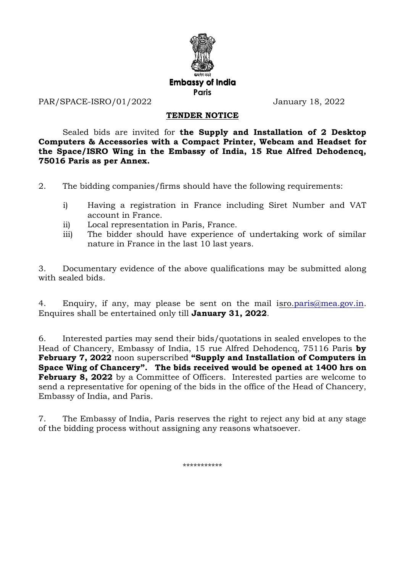

PAR/SPACE-ISRO/01/2022 January 18, 2022

## **TENDER NOTICE**

Sealed bids are invited for **the Supply and Installation of 2 Desktop Computers & Accessories with a Compact Printer, Webcam and Headset for the Space/ISRO Wing in the Embassy of India, 15 Rue Alfred Dehodencq, 75016 Paris as per Annex.**

2. The bidding companies/firms should have the following requirements:

- i) Having a registration in France including Siret Number and VAT account in France.
- ii) Local representation in Paris, France.
- iii) The bidder should have experience of undertaking work of similar nature in France in the last 10 last years.

3. Documentary evidence of the above qualifications may be submitted along with sealed bids.

4. Enquiry, if any, may please be sent on the mail isr[o.paris@mea.gov.in.](mailto:hoc.paris@mea.gov.in) Enquires shall be entertained only till **January 31, 2022**.

6. Interested parties may send their bids/quotations in sealed envelopes to the Head of Chancery, Embassy of India, 15 rue Alfred Dehodencq, 75116 Paris **by February 7, 2022** noon superscribed **"Supply and Installation of Computers in Space Wing of Chancery". The bids received would be opened at 1400 hrs on February 8, 2022** by a Committee of Officers. Interested parties are welcome to send a representative for opening of the bids in the office of the Head of Chancery, Embassy of India, and Paris.

7. The Embassy of India, Paris reserves the right to reject any bid at any stage of the bidding process without assigning any reasons whatsoever.

\*\*\*\*\*\*\*\*\*\*\*